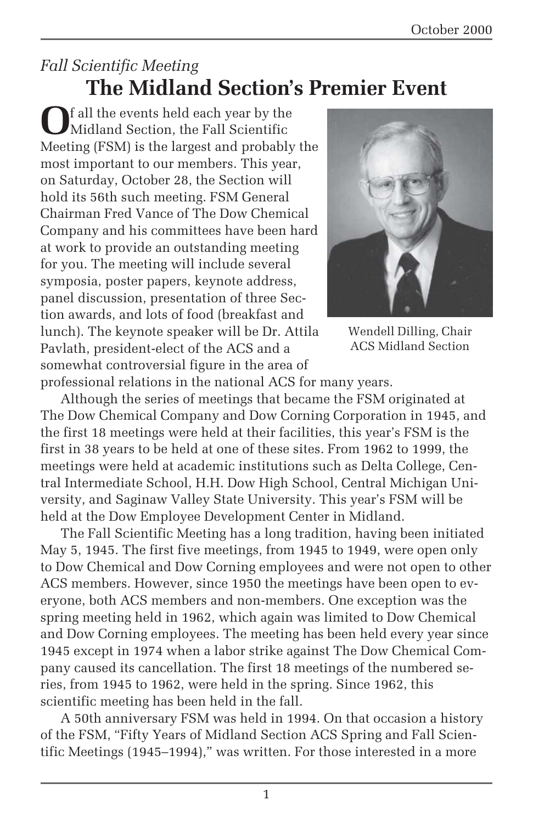# *Fall Scientific Meeting* **The Midland Section's Premier Event**

**O**f all the events held each year by the Midland Section, the Fall Scientific Meeting (FSM) is the largest and probably the most important to our members. This year, on Saturday, October 28, the Section will hold its 56th such meeting. FSM General Chairman Fred Vance of The Dow Chemical Company and his committees have been hard at work to provide an outstanding meeting for you. The meeting will include several symposia, poster papers, keynote address, panel discussion, presentation of three Section awards, and lots of food (breakfast and lunch). The keynote speaker will be Dr. Attila Pavlath, president-elect of the ACS and a somewhat controversial figure in the area of



Wendell Dilling, Chair ACS Midland Section

professional relations in the national ACS for many years.

Although the series of meetings that became the FSM originated at The Dow Chemical Company and Dow Corning Corporation in 1945, and the first 18 meetings were held at their facilities, this year's FSM is the first in 38 years to be held at one of these sites. From 1962 to 1999, the meetings were held at academic institutions such as Delta College, Central Intermediate School, H.H. Dow High School, Central Michigan University, and Saginaw Valley State University. This year's FSM will be held at the Dow Employee Development Center in Midland.

The Fall Scientific Meeting has a long tradition, having been initiated May 5, 1945. The first five meetings, from 1945 to 1949, were open only to Dow Chemical and Dow Corning employees and were not open to other ACS members. However, since 1950 the meetings have been open to everyone, both ACS members and non-members. One exception was the spring meeting held in 1962, which again was limited to Dow Chemical and Dow Corning employees. The meeting has been held every year since 1945 except in 1974 when a labor strike against The Dow Chemical Company caused its cancellation. The first 18 meetings of the numbered series, from 1945 to 1962, were held in the spring. Since 1962, this scientific meeting has been held in the fall.

A 50th anniversary FSM was held in 1994. On that occasion a history of the FSM, "Fifty Years of Midland Section ACS Spring and Fall Scientific Meetings (1945–1994)," was written. For those interested in a more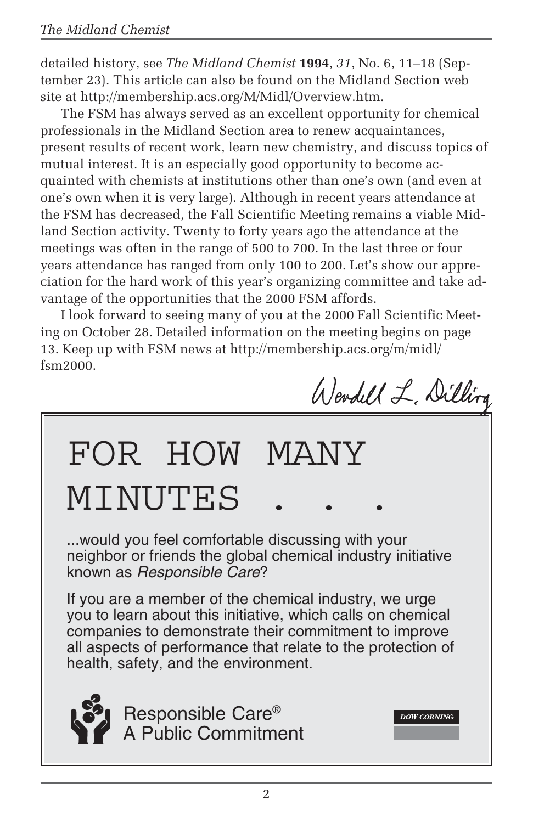detailed history, see *The Midland Chemist* **1994**, *31*, No. 6, 11–18 (September 23). This article can also be found on the Midland Section web site at http://membership.acs.org/M/Midl/Overview.htm.

The FSM has always served as an excellent opportunity for chemical professionals in the Midland Section area to renew acquaintances, present results of recent work, learn new chemistry, and discuss topics of mutual interest. It is an especially good opportunity to become acquainted with chemists at institutions other than one's own (and even at one's own when it is very large). Although in recent years attendance at the FSM has decreased, the Fall Scientific Meeting remains a viable Midland Section activity. Twenty to forty years ago the attendance at the meetings was often in the range of 500 to 700. In the last three or four years attendance has ranged from only 100 to 200. Let's show our appreciation for the hard work of this year's organizing committee and take advantage of the opportunities that the 2000 FSM affords.

I look forward to seeing many of you at the 2000 Fall Scientific Meeting on October 28. Detailed information on the meeting begins on page 13. Keep up with FSM news at http://membership.acs.org/m/midl/ fsm2000.

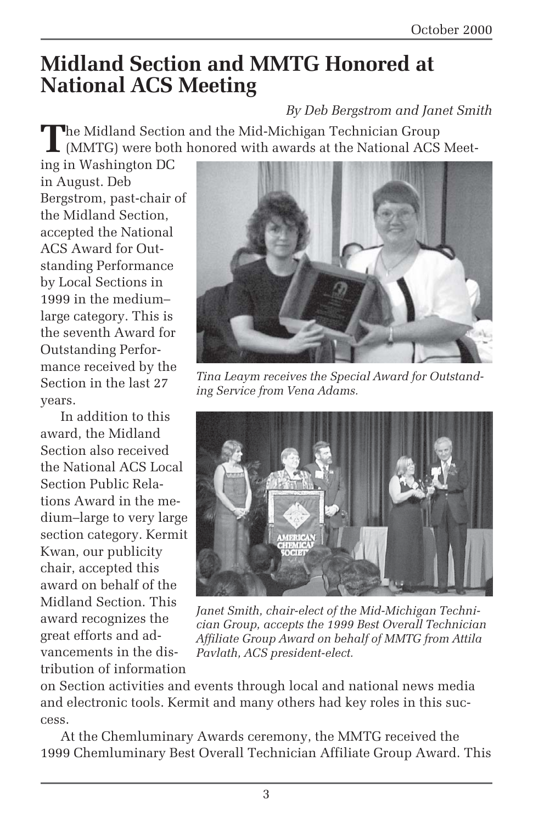# **Midland Section and MMTG Honored at National ACS Meeting**

#### *By Deb Bergstrom and Janet Smith*

**T**he Midland Section and the Mid-Michigan Technician Group (MMTG) were both honored with awards at the National ACS Meet-

ing in Washington DC in August. Deb Bergstrom, past-chair of the Midland Section, accepted the National ACS Award for Outstanding Performance by Local Sections in 1999 in the medium– large category. This is the seventh Award for Outstanding Performance received by the Section in the last 27 years.

In addition to this award, the Midland Section also received the National ACS Local Section Public Relations Award in the medium–large to very large section category. Kermit Kwan, our publicity chair, accepted this award on behalf of the Midland Section. This award recognizes the great efforts and advancements in the distribution of information



*Tina Leaym receives the Special Award for Outstanding Service from Vena Adams.*



*Janet Smith, chair-elect of the Mid-Michigan Technician Group, accepts the 1999 Best Overall Technician Affiliate Group Award on behalf of MMTG from Attila Pavlath, ACS president-elect.*

on Section activities and events through local and national news media and electronic tools. Kermit and many others had key roles in this success.

At the Chemluminary Awards ceremony, the MMTG received the 1999 Chemluminary Best Overall Technician Affiliate Group Award. This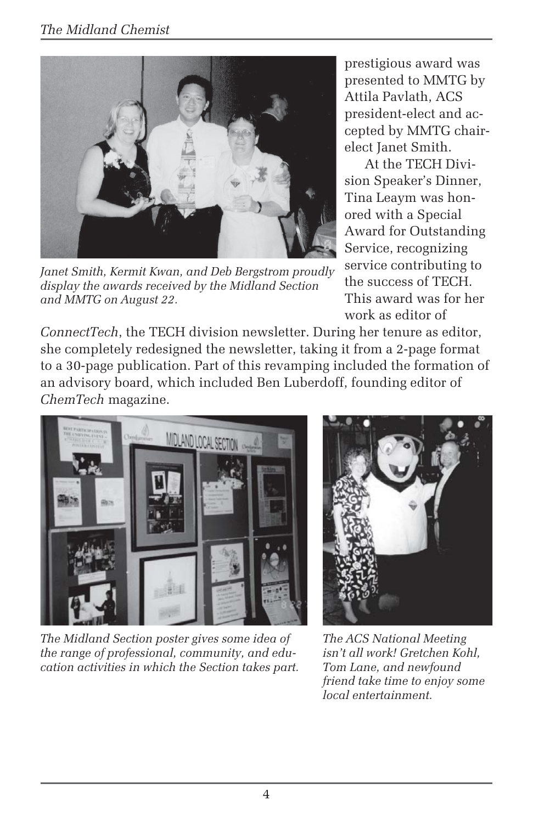

*Janet Smith, Kermit Kwan, and Deb Bergstrom proudly display the awards received by the Midland Section and MMTG on August 22.*

prestigious award was presented to MMTG by Attila Pavlath, ACS president-elect and accepted by MMTG chairelect Janet Smith.

At the TECH Division Speaker's Dinner, Tina Leaym was honored with a Special Award for Outstanding Service, recognizing service contributing to the success of TECH. This award was for her work as editor of

*ConnectTech*, the TECH division newsletter. During her tenure as editor, she completely redesigned the newsletter, taking it from a 2-page format to a 30-page publication. Part of this revamping included the formation of an advisory board, which included Ben Luberdoff, founding editor of *ChemTech* magazine.



*The Midland Section poster gives some idea of the range of professional, community, and education activities in which the Section takes part.*



*The ACS National Meeting isn't all work! Gretchen Kohl, Tom Lane, and newfound friend take time to enjoy some local entertainment.*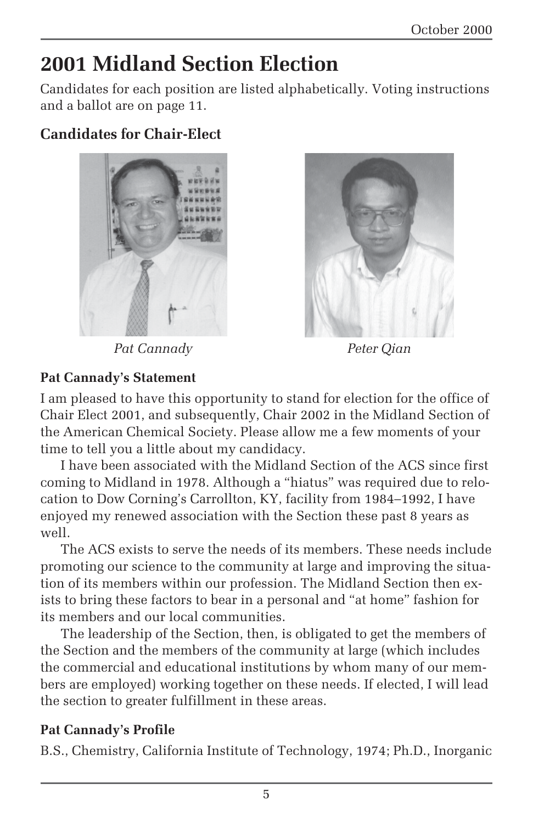# **2001 Midland Section Election**

Candidates for each position are listed alphabetically. Voting instructions and a ballot are on page 11.

# **Candidates for Chair-Elect**



*Pat Cannady Peter Qian*



### **Pat Cannady's Statement**

I am pleased to have this opportunity to stand for election for the office of Chair Elect 2001, and subsequently, Chair 2002 in the Midland Section of the American Chemical Society. Please allow me a few moments of your time to tell you a little about my candidacy.

I have been associated with the Midland Section of the ACS since first coming to Midland in 1978. Although a "hiatus" was required due to relocation to Dow Corning's Carrollton, KY, facility from 1984–1992, I have enjoyed my renewed association with the Section these past 8 years as well.

The ACS exists to serve the needs of its members. These needs include promoting our science to the community at large and improving the situation of its members within our profession. The Midland Section then exists to bring these factors to bear in a personal and "at home" fashion for its members and our local communities.

The leadership of the Section, then, is obligated to get the members of the Section and the members of the community at large (which includes the commercial and educational institutions by whom many of our members are employed) working together on these needs. If elected, I will lead the section to greater fulfillment in these areas.

# **Pat Cannady's Profile**

B.S., Chemistry, California Institute of Technology, 1974; Ph.D., Inorganic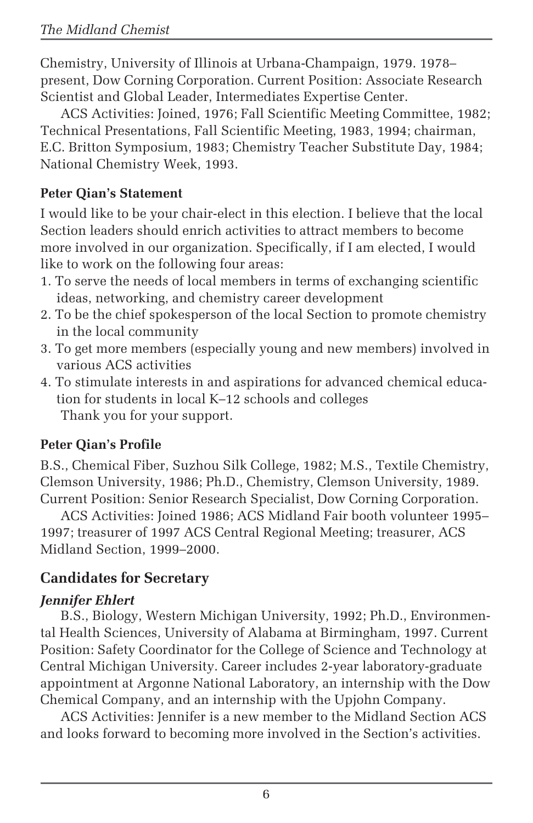Chemistry, University of Illinois at Urbana-Champaign, 1979. 1978– present, Dow Corning Corporation. Current Position: Associate Research Scientist and Global Leader, Intermediates Expertise Center.

ACS Activities: Joined, 1976; Fall Scientific Meeting Committee, 1982; Technical Presentations, Fall Scientific Meeting, 1983, 1994; chairman, E.C. Britton Symposium, 1983; Chemistry Teacher Substitute Day, 1984; National Chemistry Week, 1993.

### **Peter Qian's Statement**

I would like to be your chair-elect in this election. I believe that the local Section leaders should enrich activities to attract members to become more involved in our organization. Specifically, if I am elected, I would like to work on the following four areas:

- 1. To serve the needs of local members in terms of exchanging scientific ideas, networking, and chemistry career development
- 2. To be the chief spokesperson of the local Section to promote chemistry in the local community
- 3. To get more members (especially young and new members) involved in various ACS activities
- 4. To stimulate interests in and aspirations for advanced chemical education for students in local K–12 schools and colleges Thank you for your support.

## **Peter Qian's Profile**

B.S., Chemical Fiber, Suzhou Silk College, 1982; M.S., Textile Chemistry, Clemson University, 1986; Ph.D., Chemistry, Clemson University, 1989. Current Position: Senior Research Specialist, Dow Corning Corporation.

ACS Activities: Joined 1986; ACS Midland Fair booth volunteer 1995– 1997; treasurer of 1997 ACS Central Regional Meeting; treasurer, ACS Midland Section, 1999–2000.

# **Candidates for Secretary**

#### *Jennifer Ehlert*

B.S., Biology, Western Michigan University, 1992; Ph.D., Environmental Health Sciences, University of Alabama at Birmingham, 1997. Current Position: Safety Coordinator for the College of Science and Technology at Central Michigan University. Career includes 2-year laboratory-graduate appointment at Argonne National Laboratory, an internship with the Dow Chemical Company, and an internship with the Upjohn Company.

ACS Activities: Jennifer is a new member to the Midland Section ACS and looks forward to becoming more involved in the Section's activities.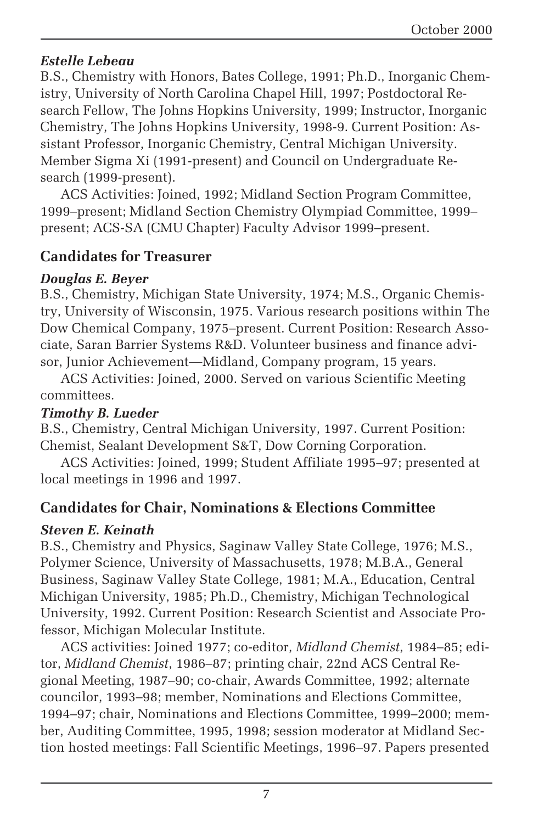#### *Estelle Lebeau*

B.S., Chemistry with Honors, Bates College, 1991; Ph.D., Inorganic Chemistry, University of North Carolina Chapel Hill, 1997; Postdoctoral Research Fellow, The Johns Hopkins University, 1999; Instructor, Inorganic Chemistry, The Johns Hopkins University, 1998-9. Current Position: Assistant Professor, Inorganic Chemistry, Central Michigan University. Member Sigma Xi (1991-present) and Council on Undergraduate Research (1999-present).

ACS Activities: Joined, 1992; Midland Section Program Committee, 1999–present; Midland Section Chemistry Olympiad Committee, 1999– present; ACS-SA (CMU Chapter) Faculty Advisor 1999–present.

### **Candidates for Treasurer**

#### *Douglas E. Beyer*

B.S., Chemistry, Michigan State University, 1974; M.S., Organic Chemistry, University of Wisconsin, 1975. Various research positions within The Dow Chemical Company, 1975–present. Current Position: Research Associate, Saran Barrier Systems R&D. Volunteer business and finance advisor, Junior Achievement—Midland, Company program, 15 years.

ACS Activities: Joined, 2000. Served on various Scientific Meeting committees.

#### *Timothy B. Lueder*

B.S., Chemistry, Central Michigan University, 1997. Current Position: Chemist, Sealant Development S&T, Dow Corning Corporation.

ACS Activities: Joined, 1999; Student Affiliate 1995–97; presented at local meetings in 1996 and 1997.

## **Candidates for Chair, Nominations & Elections Committee**

#### *Steven E. Keinath*

B.S., Chemistry and Physics, Saginaw Valley State College, 1976; M.S., Polymer Science, University of Massachusetts, 1978; M.B.A., General Business, Saginaw Valley State College, 1981; M.A., Education, Central Michigan University, 1985; Ph.D., Chemistry, Michigan Technological University, 1992. Current Position: Research Scientist and Associate Professor, Michigan Molecular Institute.

ACS activities: Joined 1977; co-editor, *Midland Chemist*, 1984–85; editor, *Midland Chemist*, 1986–87; printing chair, 22nd ACS Central Regional Meeting, 1987–90; co-chair, Awards Committee, 1992; alternate councilor, 1993–98; member, Nominations and Elections Committee, 1994–97; chair, Nominations and Elections Committee, 1999–2000; member, Auditing Committee, 1995, 1998; session moderator at Midland Section hosted meetings: Fall Scientific Meetings, 1996–97. Papers presented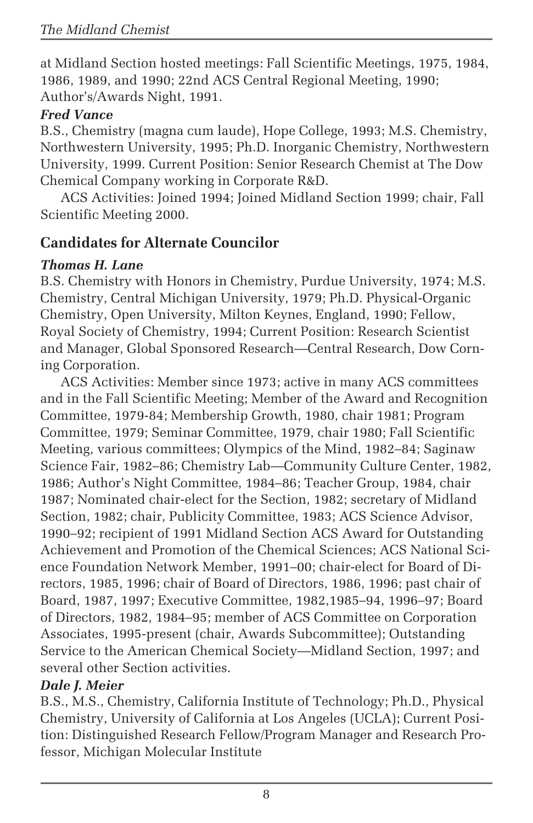at Midland Section hosted meetings: Fall Scientific Meetings, 1975, 1984, 1986, 1989, and 1990; 22nd ACS Central Regional Meeting, 1990; Author's/Awards Night, 1991.

## *Fred Vance*

B.S., Chemistry (magna cum laude), Hope College, 1993; M.S. Chemistry, Northwestern University, 1995; Ph.D. Inorganic Chemistry, Northwestern University, 1999. Current Position: Senior Research Chemist at The Dow Chemical Company working in Corporate R&D.

ACS Activities: Joined 1994; Joined Midland Section 1999; chair, Fall Scientific Meeting 2000.

# **Candidates for Alternate Councilor**

## *Thomas H. Lane*

B.S. Chemistry with Honors in Chemistry, Purdue University, 1974; M.S. Chemistry, Central Michigan University, 1979; Ph.D. Physical-Organic Chemistry, Open University, Milton Keynes, England, 1990; Fellow, Royal Society of Chemistry, 1994; Current Position: Research Scientist and Manager, Global Sponsored Research—Central Research, Dow Corning Corporation.

ACS Activities: Member since 1973; active in many ACS committees and in the Fall Scientific Meeting; Member of the Award and Recognition Committee, 1979-84; Membership Growth, 1980, chair 1981; Program Committee, 1979; Seminar Committee, 1979, chair 1980; Fall Scientific Meeting, various committees; Olympics of the Mind, 1982–84; Saginaw Science Fair, 1982–86; Chemistry Lab—Community Culture Center, 1982, 1986; Author's Night Committee, 1984–86; Teacher Group, 1984, chair 1987; Nominated chair-elect for the Section, 1982; secretary of Midland Section, 1982; chair, Publicity Committee, 1983; ACS Science Advisor, 1990–92; recipient of 1991 Midland Section ACS Award for Outstanding Achievement and Promotion of the Chemical Sciences; ACS National Science Foundation Network Member, 1991–00; chair-elect for Board of Directors, 1985, 1996; chair of Board of Directors, 1986, 1996; past chair of Board, 1987, 1997; Executive Committee, 1982,1985–94, 1996–97; Board of Directors, 1982, 1984–95; member of ACS Committee on Corporation Associates, 1995-present (chair, Awards Subcommittee); Outstanding Service to the American Chemical Society—Midland Section, 1997; and several other Section activities.

# *Dale J. Meier*

B.S., M.S., Chemistry, California Institute of Technology; Ph.D., Physical Chemistry, University of California at Los Angeles (UCLA); Current Position: Distinguished Research Fellow/Program Manager and Research Professor, Michigan Molecular Institute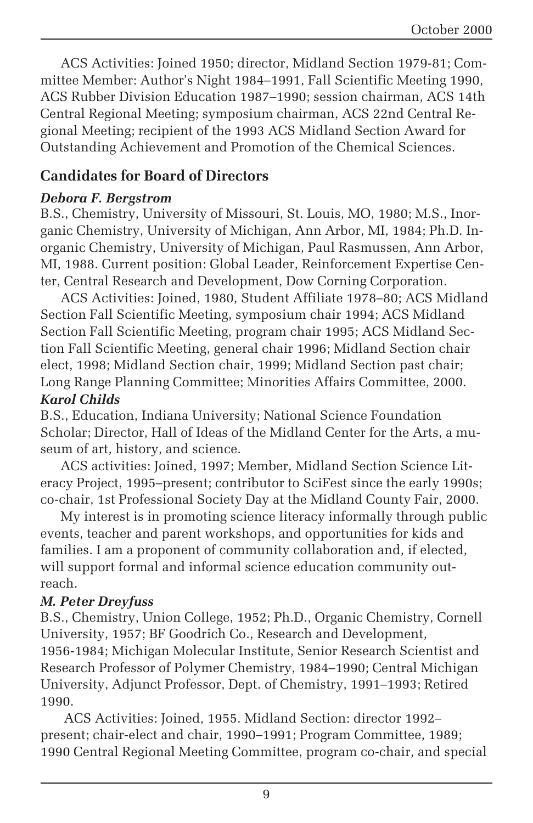ACS Activities: Joined 1950; director, Midland Section 1979-81; Committee Member: Author's Night 1984–1991, Fall Scientific Meeting 1990, ACS Rubber Division Education 1987–1990; session chairman, ACS 14th Central Regional Meeting; symposium chairman, ACS 22nd Central Regional Meeting; recipient of the 1993 ACS Midland Section Award for Outstanding Achievement and Promotion of the Chemical Sciences.

### **Candidates for Board of Directors**

#### *Debora F. Bergstrom*

B.S., Chemistry, University of Missouri, St. Louis, MO, 1980; M.S., Inorganic Chemistry, University of Michigan, Ann Arbor, MI, 1984; Ph.D. Inorganic Chemistry, University of Michigan, Paul Rasmussen, Ann Arbor, MI, 1988. Current position: Global Leader, Reinforcement Expertise Center, Central Research and Development, Dow Corning Corporation.

ACS Activities: Joined, 1980, Student Affiliate 1978–80; ACS Midland Section Fall Scientific Meeting, symposium chair 1994; ACS Midland Section Fall Scientific Meeting, program chair 1995; ACS Midland Section Fall Scientific Meeting, general chair 1996; Midland Section chair elect, 1998; Midland Section chair, 1999; Midland Section past chair; Long Range Planning Committee; Minorities Affairs Committee, 2000.

#### *Karol Childs*

B.S., Education, Indiana University; National Science Foundation Scholar; Director, Hall of Ideas of the Midland Center for the Arts, a museum of art, history, and science.

ACS activities: Joined, 1997; Member, Midland Section Science Literacy Project, 1995–present; contributor to SciFest since the early 1990s; co-chair, 1st Professional Society Day at the Midland County Fair, 2000.

My interest is in promoting science literacy informally through public events, teacher and parent workshops, and opportunities for kids and families. I am a proponent of community collaboration and, if elected, will support formal and informal science education community outreach.

#### *M. Peter Dreyfuss*

B.S., Chemistry, Union College, 1952; Ph.D., Organic Chemistry, Cornell University, 1957; BF Goodrich Co., Research and Development, 1956-1984; Michigan Molecular Institute, Senior Research Scientist and Research Professor of Polymer Chemistry, 1984–1990; Central Michigan University, Adjunct Professor, Dept. of Chemistry, 1991–1993; Retired 1990.

 ACS Activities: Joined, 1955. Midland Section: director 1992– present; chair-elect and chair, 1990–1991; Program Committee, 1989; 1990 Central Regional Meeting Committee, program co-chair, and special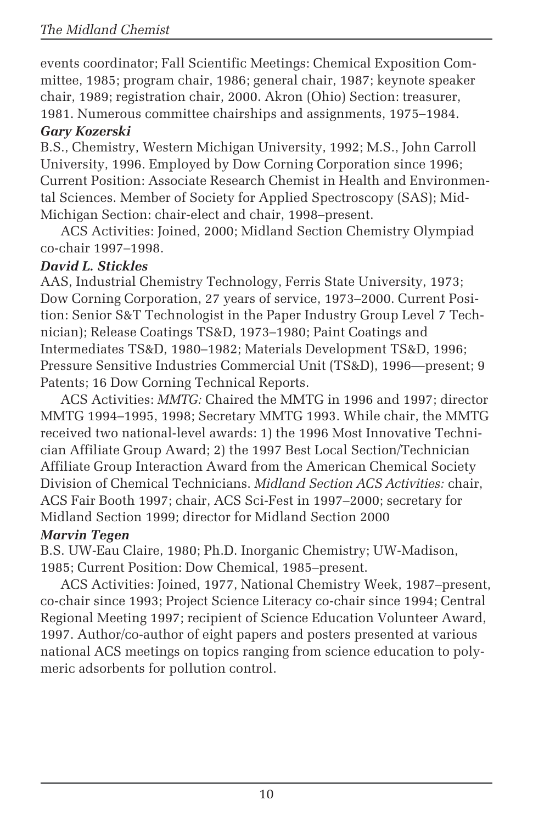events coordinator; Fall Scientific Meetings: Chemical Exposition Committee, 1985; program chair, 1986; general chair, 1987; keynote speaker chair, 1989; registration chair, 2000. Akron (Ohio) Section: treasurer, 1981. Numerous committee chairships and assignments, 1975–1984.

#### *Gary Kozerski*

B.S., Chemistry, Western Michigan University, 1992; M.S., John Carroll University, 1996. Employed by Dow Corning Corporation since 1996; Current Position: Associate Research Chemist in Health and Environmental Sciences. Member of Society for Applied Spectroscopy (SAS); Mid-Michigan Section: chair-elect and chair, 1998–present.

ACS Activities: Joined, 2000; Midland Section Chemistry Olympiad co-chair 1997–1998.

#### *David L. Stickles*

AAS, Industrial Chemistry Technology, Ferris State University, 1973; Dow Corning Corporation, 27 years of service, 1973–2000. Current Position: Senior S&T Technologist in the Paper Industry Group Level 7 Technician); Release Coatings TS&D, 1973–1980; Paint Coatings and Intermediates TS&D, 1980–1982; Materials Development TS&D, 1996; Pressure Sensitive Industries Commercial Unit (TS&D), 1996—present; 9 Patents; 16 Dow Corning Technical Reports.

ACS Activities: *MMTG:* Chaired the MMTG in 1996 and 1997; director MMTG 1994–1995, 1998; Secretary MMTG 1993. While chair, the MMTG received two national-level awards: 1) the 1996 Most Innovative Technician Affiliate Group Award; 2) the 1997 Best Local Section/Technician Affiliate Group Interaction Award from the American Chemical Society Division of Chemical Technicians. *Midland Section ACS Activities:* chair, ACS Fair Booth 1997; chair, ACS Sci-Fest in 1997–2000; secretary for Midland Section 1999; director for Midland Section 2000

#### *Marvin Tegen*

B.S. UW-Eau Claire, 1980; Ph.D. Inorganic Chemistry; UW-Madison, 1985; Current Position: Dow Chemical, 1985–present.

ACS Activities: Joined, 1977, National Chemistry Week, 1987–present, co-chair since 1993; Project Science Literacy co-chair since 1994; Central Regional Meeting 1997; recipient of Science Education Volunteer Award, 1997. Author/co-author of eight papers and posters presented at various national ACS meetings on topics ranging from science education to polymeric adsorbents for pollution control.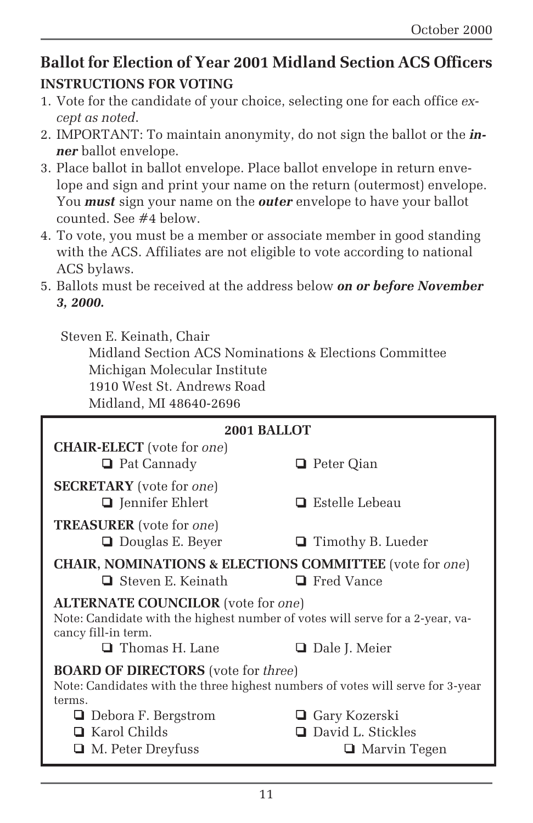# **Ballot for Election of Year 2001 Midland Section ACS Officers INSTRUCTIONS FOR VOTING**

- 1. Vote for the candidate of your choice, selecting one for each office *except as noted*.
- 2. IMPORTANT: To maintain anonymity, do not sign the ballot or the *inner* ballot envelope.
- 3. Place ballot in ballot envelope. Place ballot envelope in return envelope and sign and print your name on the return (outermost) envelope. You *must* sign your name on the *outer* envelope to have your ballot counted. See #4 below.
- 4. To vote, you must be a member or associate member in good standing with the ACS. Affiliates are not eligible to vote according to national ACS bylaws.
- 5. Ballots must be received at the address below *on or before November 3, 2000.*

Steven E. Keinath, Chair Midland Section ACS Nominations & Elections Committee Michigan Molecular Institute 1910 West St. Andrews Road Midland, MI 48640-2696

| 2001 BALLOT                                                                                                                                       |                                                                             |  |
|---------------------------------------------------------------------------------------------------------------------------------------------------|-----------------------------------------------------------------------------|--|
| <b>CHAIR-ELECT</b> (vote for one)                                                                                                                 |                                                                             |  |
| <b>Q</b> Pat Cannady                                                                                                                              | <b>□</b> Peter Qian                                                         |  |
| <b>SECRETARY</b> (vote for one)<br>$\Box$ Jennifer Ehlert                                                                                         | $\Box$ Estelle Lebeau                                                       |  |
| <b>TREASURER</b> (vote for one)<br>$\Box$ Douglas E. Beyer                                                                                        | <b>Q</b> Timothy B. Lueder                                                  |  |
| <b>CHAIR, NOMINATIONS &amp; ELECTIONS COMMITTEE</b> (vote for one)<br>$\Box$ Steven E. Keinath                                                    | <b>Q</b> Fred Vance                                                         |  |
| <b>ALTERNATE COUNCILOR</b> (vote for one)<br>Note: Candidate with the highest number of votes will serve for a 2-year, va-<br>cancy fill-in term. |                                                                             |  |
| $\Box$ Thomas H. Lane                                                                                                                             | <b>□</b> Dale J. Meier                                                      |  |
| <b>BOARD OF DIRECTORS</b> (vote for three)<br>Note: Candidates with the three highest numbers of votes will serve for 3-year<br>terms.            |                                                                             |  |
| <b>Q</b> Debora F. Bergstrom<br>$\Box$ Karol Childs<br>$\Box$ M. Peter Dreyfuss                                                                   | $\Box$ Gary Kozerski<br><b>Q</b> David L. Stickles<br><b>■</b> Marvin Tegen |  |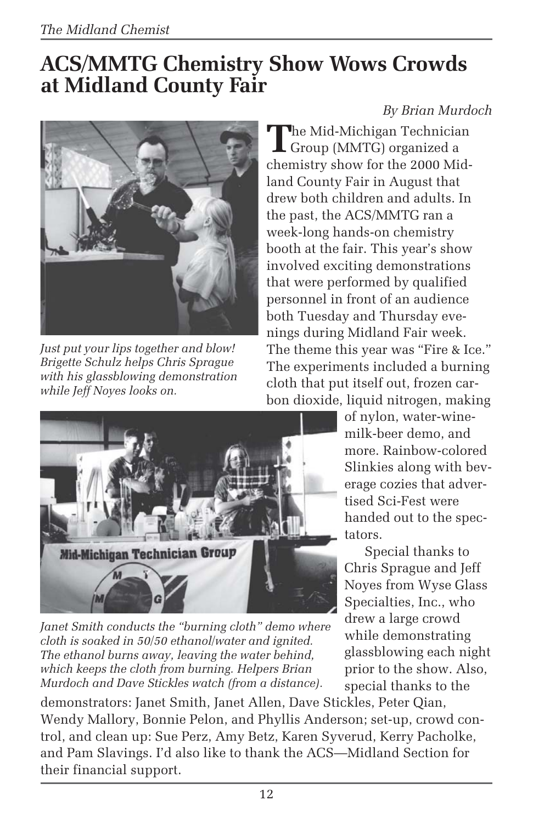# **ACS/MMTG Chemistry Show Wows Crowds at Midland County Fair**

### *By Brian Murdoch*



*Just put your lips together and blow! Brigette Schulz helps Chris Sprague with his glassblowing demonstration while Jeff Noyes looks on.*

**T**he Mid-Michigan Technician Group (MMTG) organized a chemistry show for the 2000 Midland County Fair in August that drew both children and adults. In the past, the ACS/MMTG ran a week-long hands-on chemistry booth at the fair. This year's show involved exciting demonstrations that were performed by qualified personnel in front of an audience both Tuesday and Thursday evenings during Midland Fair week. The theme this year was "Fire & Ice." The experiments included a burning cloth that put itself out, frozen carbon dioxide, liquid nitrogen, making

of nylon, water-winemilk-beer demo, and more. Rainbow-colored Slinkies along with beverage cozies that advertised Sci-Fest were handed out to the spectators.

Special thanks to Chris Sprague and Jeff Noyes from Wyse Glass Specialties, Inc., who drew a large crowd while demonstrating glassblowing each night prior to the show. Also, special thanks to the

demonstrators: Janet Smith, Janet Allen, Dave Stickles, Peter Qian, Wendy Mallory, Bonnie Pelon, and Phyllis Anderson; set-up, crowd control, and clean up: Sue Perz, Amy Betz, Karen Syverud, Kerry Pacholke, and Pam Slavings. I'd also like to thank the ACS—Midland Section for their financial support.



*Janet Smith conducts the "burning cloth" demo where cloth is soaked in 50/50 ethanol/water and ignited. The ethanol burns away, leaving the water behind, which keeps the cloth from burning. Helpers Brian Murdoch and Dave Stickles watch (from a distance).*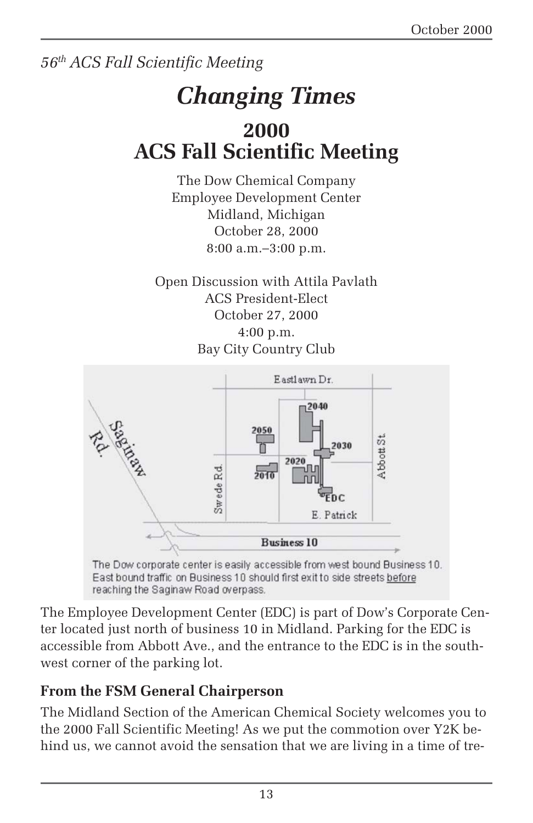*56th ACS Fall Scientific Meeting*

# *Changing Times* **2000 ACS Fall Scientific Meeting**

The Dow Chemical Company Employee Development Center Midland, Michigan October 28, 2000 8:00 a.m.–3:00 p.m.

Open Discussion with Attila Pavlath ACS President-Elect October 27, 2000 4:00 p.m. Bay City Country Club



The Dow corporate center is easily accessible from west bound Business 10. East bound traffic on Business 10 should first exit to side streets before reaching the Saginaw Road overpass.

The Employee Development Center (EDC) is part of Dow's Corporate Center located just north of business 10 in Midland. Parking for the EDC is accessible from Abbott Ave., and the entrance to the EDC is in the southwest corner of the parking lot.

# **From the FSM General Chairperson**

The Midland Section of the American Chemical Society welcomes you to the 2000 Fall Scientific Meeting! As we put the commotion over Y2K behind us, we cannot avoid the sensation that we are living in a time of tre-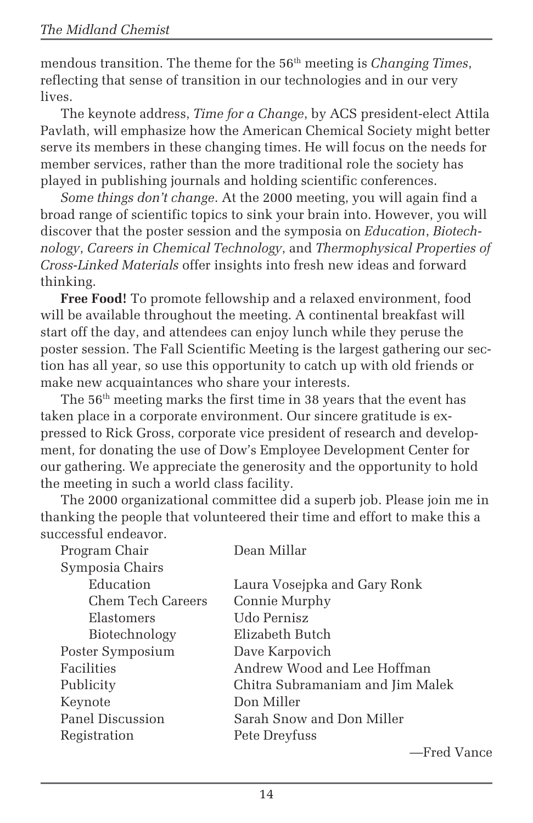mendous transition. The theme for the 56<sup>th</sup> meeting is *Changing Times*, reflecting that sense of transition in our technologies and in our very lives.

The keynote address, *Time for a Change*, by ACS president-elect Attila Pavlath, will emphasize how the American Chemical Society might better serve its members in these changing times. He will focus on the needs for member services, rather than the more traditional role the society has played in publishing journals and holding scientific conferences.

*Some things don't change*. At the 2000 meeting, you will again find a broad range of scientific topics to sink your brain into. However, you will discover that the poster session and the symposia on *Education*, *Biotechnology*, *Careers in Chemical Technology*, and *Thermophysical Properties of Cross-Linked Materials* offer insights into fresh new ideas and forward thinking.

**Free Food!** To promote fellowship and a relaxed environment, food will be available throughout the meeting. A continental breakfast will start off the day, and attendees can enjoy lunch while they peruse the poster session. The Fall Scientific Meeting is the largest gathering our section has all year, so use this opportunity to catch up with old friends or make new acquaintances who share your interests.

The 56<sup>th</sup> meeting marks the first time in 38 years that the event has taken place in a corporate environment. Our sincere gratitude is expressed to Rick Gross, corporate vice president of research and development, for donating the use of Dow's Employee Development Center for our gathering. We appreciate the generosity and the opportunity to hold the meeting in such a world class facility.

The 2000 organizational committee did a superb job. Please join me in thanking the people that volunteered their time and effort to make this a successful endeavor.

| Program Chair            | Dean Millar                      |
|--------------------------|----------------------------------|
| Symposia Chairs          |                                  |
| Education                | Laura Vosejpka and Gary Ronk     |
| <b>Chem Tech Careers</b> | Connie Murphy                    |
| Elastomers               | Udo Pernisz                      |
| Biotechnology            | Elizabeth Butch                  |
| Poster Symposium         | Dave Karpovich                   |
| Facilities               | Andrew Wood and Lee Hoffman      |
| Publicity                | Chitra Subramaniam and Jim Malek |
| Keynote                  | Don Miller                       |
| Panel Discussion         | Sarah Snow and Don Miller        |
| Registration             | Pete Dreyfuss                    |
|                          |                                  |

—Fred Vance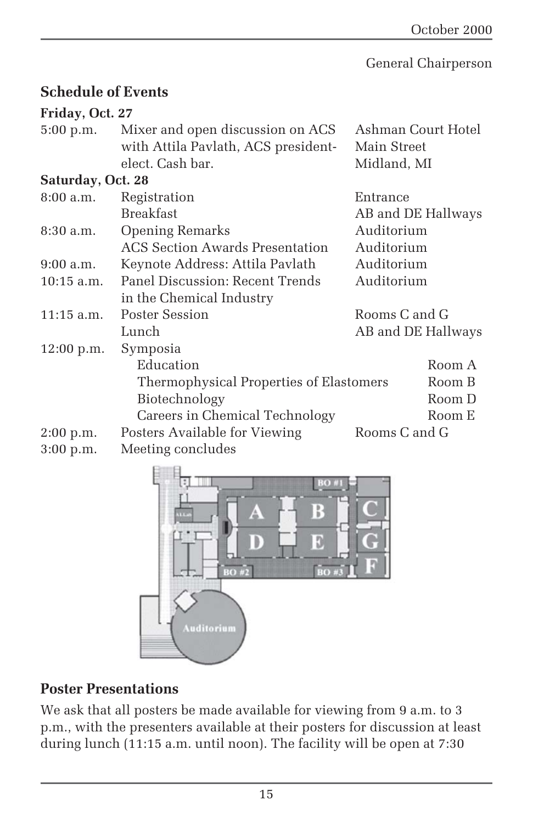#### General Chairperson

#### **Schedule of Events**

#### **Friday, Oct. 27**

| $5:00$ p.m. | Mixer and open discussion on ACS    | Ashman Court Hotel |
|-------------|-------------------------------------|--------------------|
|             | with Attila Pavlath, ACS president- | Main Street        |
|             | elect. Cash bar.                    | Midland, MI        |
| 0.110.1.00  |                                     |                    |

#### **Saturday, Oct. 28**

| 8:00 a.m.    | Registration                            | Entrance           |
|--------------|-----------------------------------------|--------------------|
|              | <b>Breakfast</b>                        | AB and DE Hallways |
| 8:30 a.m.    | <b>Opening Remarks</b>                  | Auditorium         |
|              | <b>ACS</b> Section Awards Presentation  | Auditorium         |
| 9:00 a.m.    | Keynote Address: Attila Pavlath         | Auditorium         |
| $10:15$ a.m. | Panel Discussion: Recent Trends         | Auditorium         |
|              | in the Chemical Industry                |                    |
| $11:15$ a.m. | <b>Poster Session</b>                   | Rooms C and G      |
|              | Lunch                                   | AB and DE Hallways |
| $12:00$ p.m. | Symposia                                |                    |
|              | Education                               | Room A             |
|              | Thermophysical Properties of Elastomers | Room B             |
|              | Biotechnology                           | Room D             |
|              | Careers in Chemical Technology          | Room E             |
| $2:00$ p.m.  | Posters Available for Viewing           | Rooms C and G      |
|              |                                         |                    |

3:00 p.m. Meeting concludes



## **Poster Presentations**

We ask that all posters be made available for viewing from 9 a.m. to 3 p.m., with the presenters available at their posters for discussion at least during lunch (11:15 a.m. until noon). The facility will be open at 7:30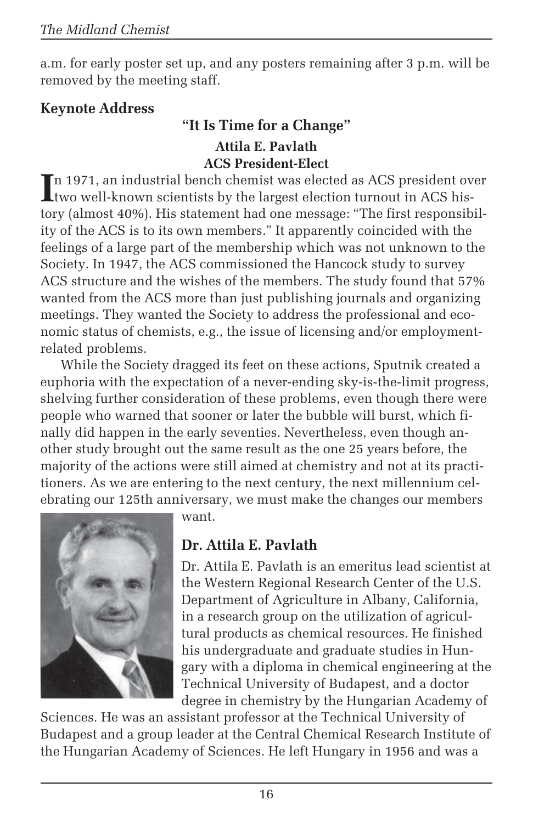a.m. for early poster set up, and any posters remaining after 3 p.m. will be removed by the meeting staff.

# **Keynote Address**

## **"It Is Time for a Change" Attila E. Pavlath ACS President-Elect**

In 1971, an industrial bench chemist was elected as ACS president over<br>two well-known scientists by the largest election turnout in ACS histwo well-known scientists by the largest election turnout in ACS history (almost 40%). His statement had one message: "The first responsibility of the ACS is to its own members." It apparently coincided with the feelings of a large part of the membership which was not unknown to the Society. In 1947, the ACS commissioned the Hancock study to survey ACS structure and the wishes of the members. The study found that 57% wanted from the ACS more than just publishing journals and organizing meetings. They wanted the Society to address the professional and economic status of chemists, e.g., the issue of licensing and/or employmentrelated problems.

While the Society dragged its feet on these actions, Sputnik created a euphoria with the expectation of a never-ending sky-is-the-limit progress, shelving further consideration of these problems, even though there were people who warned that sooner or later the bubble will burst, which finally did happen in the early seventies. Nevertheless, even though another study brought out the same result as the one 25 years before, the majority of the actions were still aimed at chemistry and not at its practitioners. As we are entering to the next century, the next millennium celebrating our 125th anniversary, we must make the changes our members



want.

# **Dr. Attila E. Pavlath**

Dr. Attila E. Pavlath is an emeritus lead scientist at the Western Regional Research Center of the U.S. Department of Agriculture in Albany, California, in a research group on the utilization of agricultural products as chemical resources. He finished his undergraduate and graduate studies in Hungary with a diploma in chemical engineering at the Technical University of Budapest, and a doctor degree in chemistry by the Hungarian Academy of

Sciences. He was an assistant professor at the Technical University of Budapest and a group leader at the Central Chemical Research Institute of the Hungarian Academy of Sciences. He left Hungary in 1956 and was a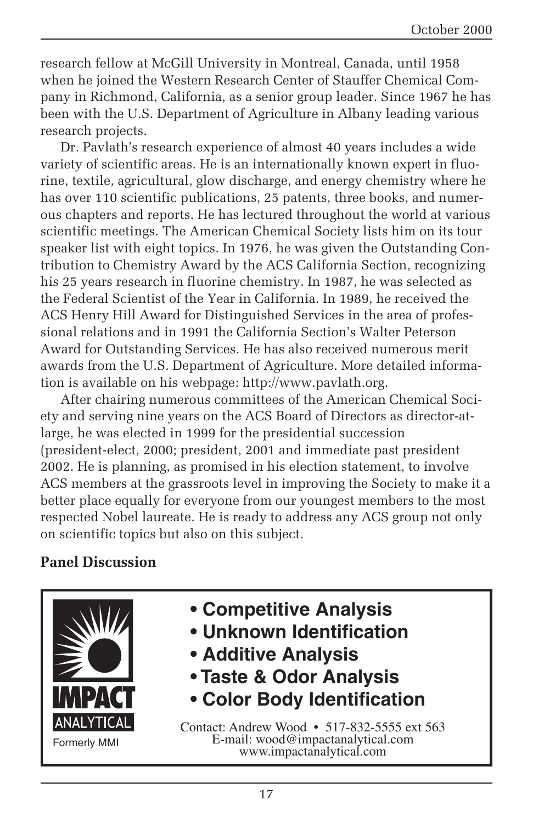research fellow at McGill University in Montreal, Canada, until 1958 when he joined the Western Research Center of Stauffer Chemical Company in Richmond, California, as a senior group leader. Since 1967 he has been with the U.S. Department of Agriculture in Albany leading various research projects.

Dr. Pavlath's research experience of almost 40 years includes a wide variety of scientific areas. He is an internationally known expert in fluorine, textile, agricultural, glow discharge, and energy chemistry where he has over 110 scientific publications, 25 patents, three books, and numerous chapters and reports. He has lectured throughout the world at various scientific meetings. The American Chemical Society lists him on its tour speaker list with eight topics. In 1976, he was given the Outstanding Contribution to Chemistry Award by the ACS California Section, recognizing his 25 years research in fluorine chemistry. In 1987, he was selected as the Federal Scientist of the Year in California. In 1989, he received the ACS Henry Hill Award for Distinguished Services in the area of professional relations and in 1991 the California Section's Walter Peterson Award for Outstanding Services. He has also received numerous merit awards from the U.S. Department of Agriculture. More detailed information is available on his webpage: http://www.pavlath.org.

After chairing numerous committees of the American Chemical Society and serving nine years on the ACS Board of Directors as director-atlarge, he was elected in 1999 for the presidential succession (president-elect, 2000; president, 2001 and immediate past president 2002. He is planning, as promised in his election statement, to involve ACS members at the grassroots level in improving the Society to make it a better place equally for everyone from our youngest members to the most respected Nobel laureate. He is ready to address any ACS group not only on scientific topics but also on this subject.

# **Panel Discussion**



- **Competitive Analysis**
- **Unknown Identification**
- **Additive Analysis**
- **Taste & Odor Analysis**
- **Color Body Identification**

Contact: Andrew Wood • 517-832-5555 ext 563 E-mail: wood@impactanalytical.com www.impactanalytical.com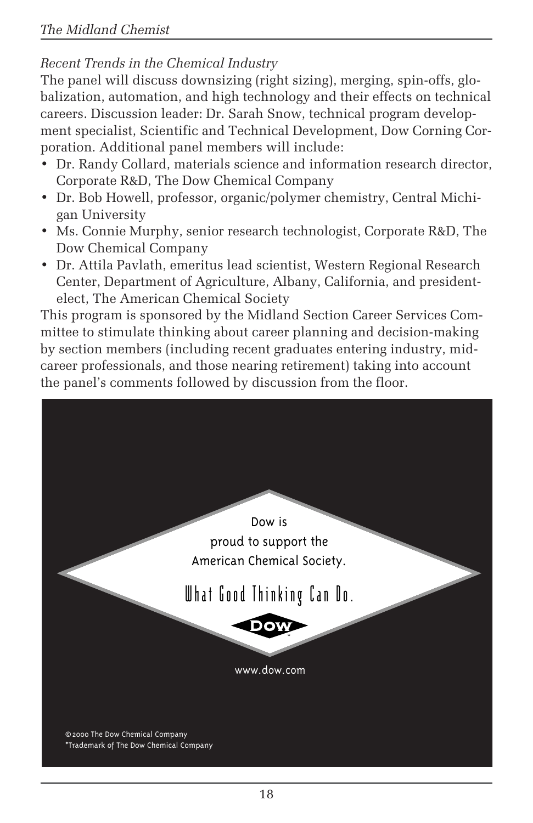## *Recent Trends in the Chemical Industry*

The panel will discuss downsizing (right sizing), merging, spin-offs, globalization, automation, and high technology and their effects on technical careers. Discussion leader: Dr. Sarah Snow, technical program development specialist, Scientific and Technical Development, Dow Corning Corporation. Additional panel members will include:

- Dr. Randy Collard, materials science and information research director, Corporate R&D, The Dow Chemical Company
- Dr. Bob Howell, professor, organic/polymer chemistry, Central Michigan University
- Ms. Connie Murphy, senior research technologist, Corporate R&D, The Dow Chemical Company
- Dr. Attila Pavlath, emeritus lead scientist, Western Regional Research Center, Department of Agriculture, Albany, California, and presidentelect, The American Chemical Society

This program is sponsored by the Midland Section Career Services Committee to stimulate thinking about career planning and decision-making by section members (including recent graduates entering industry, midcareer professionals, and those nearing retirement) taking into account the panel's comments followed by discussion from the floor.

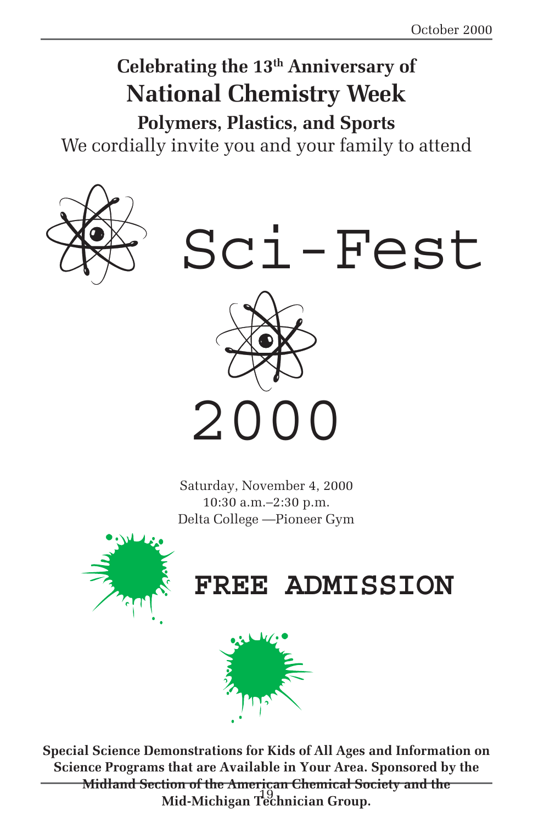# **Celebrating the 13th Anniversary of National Chemistry Week**

**Polymers, Plastics, and Sports** We cordially invite you and your family to attend





Saturday, November 4, 2000 10:30 a.m.–2:30 p.m. Delta College —Pioneer Gym



# **FREE ADMISSION**



19 **Mid-Michigan Technician Group.Special Science Demonstrations for Kids of All Ages and Information on Science Programs that are Available in Your Area. Sponsored by the Midland Section of the American Chemical Society and the**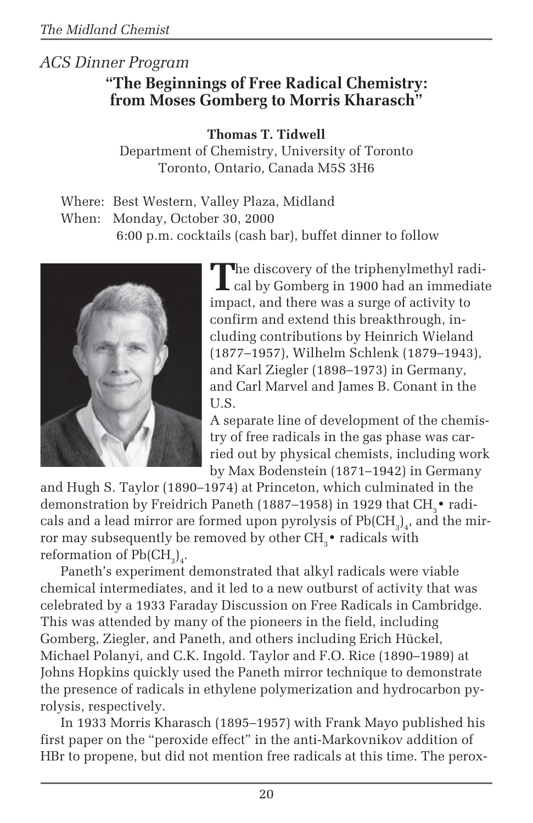# *ACS Dinner Program*

# **"The Beginnings of Free Radical Chemistry: from Moses Gomberg to Morris Kharasch"**

**Thomas T. Tidwell**

Department of Chemistry, University of Toronto Toronto, Ontario, Canada M5S 3H6

Where: Best Western, Valley Plaza, Midland

When: Monday, October 30, 2000

6:00 p.m. cocktails (cash bar), buffet dinner to follow



The discovery of the triphenylmethyl radi-L cal by Gomberg in 1900 had an immediate impact, and there was a surge of activity to confirm and extend this breakthrough, including contributions by Heinrich Wieland (1877–1957), Wilhelm Schlenk (1879–1943), and Karl Ziegler (1898–1973) in Germany, and Carl Marvel and James B. Conant in the U.S.

A separate line of development of the chemistry of free radicals in the gas phase was carried out by physical chemists, including work by Max Bodenstein (1871–1942) in Germany

and Hugh S. Taylor (1890–1974) at Princeton, which culminated in the demonstration by Freidrich Paneth (1887–1958) in 1929 that CH $_{\tiny 3}^{\bullet}$  radicals and a lead mirror are formed upon pyrolysis of  ${\rm Pb}({\rm CH}_3)_4$ , and the mirror may subsequently be removed by other  $\mathrm{CH}_3^{\bullet}$  radicals with reformation of  $Pb(CH_3)_4$ .

Paneth's experiment demonstrated that alkyl radicals were viable chemical intermediates, and it led to a new outburst of activity that was celebrated by a 1933 Faraday Discussion on Free Radicals in Cambridge. This was attended by many of the pioneers in the field, including Gomberg, Ziegler, and Paneth, and others including Erich Hückel, Michael Polanyi, and C.K. Ingold. Taylor and F.O. Rice (1890–1989) at Johns Hopkins quickly used the Paneth mirror technique to demonstrate the presence of radicals in ethylene polymerization and hydrocarbon pyrolysis, respectively.

In 1933 Morris Kharasch (1895–1957) with Frank Mayo published his first paper on the "peroxide effect" in the anti-Markovnikov addition of HBr to propene, but did not mention free radicals at this time. The perox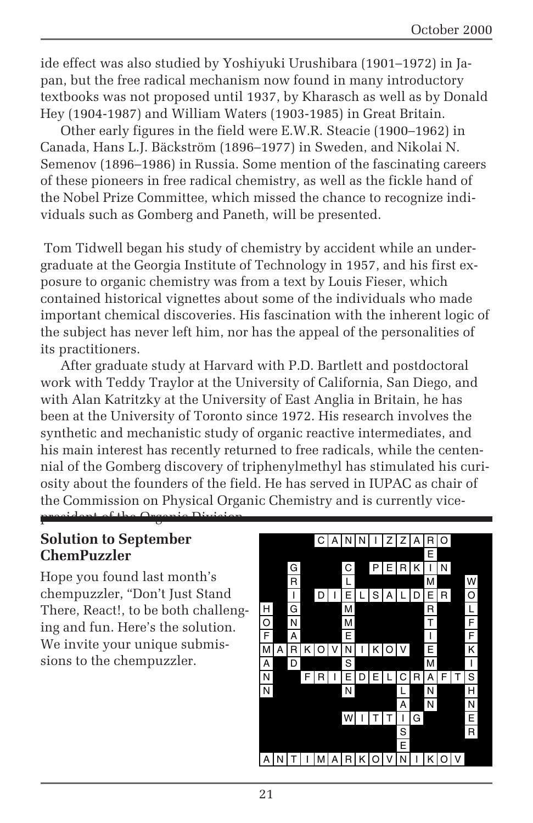ide effect was also studied by Yoshiyuki Urushibara (1901–1972) in Japan, but the free radical mechanism now found in many introductory textbooks was not proposed until 1937, by Kharasch as well as by Donald Hey (1904-1987) and William Waters (1903-1985) in Great Britain.

Other early figures in the field were E.W.R. Steacie (1900–1962) in Canada, Hans L.J. Bäckström (1896–1977) in Sweden, and Nikolai N. Semenov (1896–1986) in Russia. Some mention of the fascinating careers of these pioneers in free radical chemistry, as well as the fickle hand of the Nobel Prize Committee, which missed the chance to recognize individuals such as Gomberg and Paneth, will be presented.

 Tom Tidwell began his study of chemistry by accident while an undergraduate at the Georgia Institute of Technology in 1957, and his first exposure to organic chemistry was from a text by Louis Fieser, which contained historical vignettes about some of the individuals who made important chemical discoveries. His fascination with the inherent logic of the subject has never left him, nor has the appeal of the personalities of its practitioners.

After graduate study at Harvard with P.D. Bartlett and postdoctoral work with Teddy Traylor at the University of California, San Diego, and with Alan Katritzky at the University of East Anglia in Britain, he has been at the University of Toronto since 1972. His research involves the synthetic and mechanistic study of organic reactive intermediates, and his main interest has recently returned to free radicals, while the centennial of the Gomberg discovery of triphenylmethyl has stimulated his curiosity about the founders of the field. He has served in IUPAC as chair of the Commission on Physical Organic Chemistry and is currently vicepresident of the Organic Division.

#### **Solution to September ChemPuzzler**

Hope you found last month's chempuzzler, "Don't Just Stand There, React!, to be both challenging and fun. Here's the solution. We invite your unique submissions to the chempuzzler.